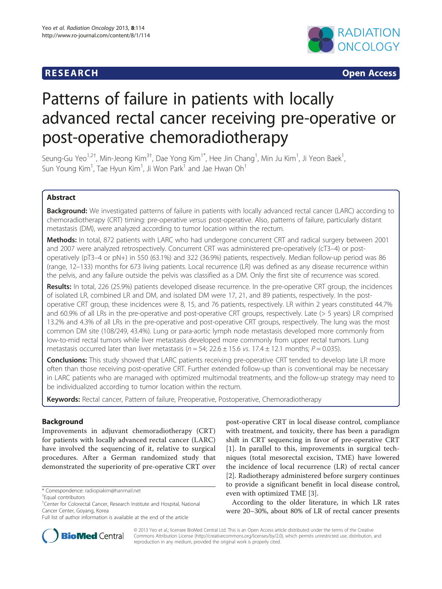# **RESEARCH CHING CONSTRUCTED ACCESS**



# Patterns of failure in patients with locally advanced rectal cancer receiving pre-operative or post-operative chemoradiotherapy

Seung-Gu Yeo $^{1,2^{\dagger}}$ , Min-Jeong Kim $^{3^{\dagger}}$ , Dae Yong Kim $^{1^{\ast}}$ , Hee Jin Chang $^{1}$ , Min Ju Kim $^{1}$ , Ji Yeon Baek $^{1}$ , Sun Young Kim $^1$ , Tae Hyun Kim $^1$ , Ji Won Park $^1$  and Jae Hwan Oh $^1$ 

# Abstract

Background: We investigated patterns of failure in patients with locally advanced rectal cancer (LARC) according to chemoradiotherapy (CRT) timing: pre-operative versus post-operative. Also, patterns of failure, particularly distant metastasis (DM), were analyzed according to tumor location within the rectum.

Methods: In total, 872 patients with LARC who had undergone concurrent CRT and radical surgery between 2001 and 2007 were analyzed retrospectively. Concurrent CRT was administered pre-operatively (cT3–4) or postoperatively (pT3–4 or pN+) in 550 (63.1%) and 322 (36.9%) patients, respectively. Median follow-up period was 86 (range, 12–133) months for 673 living patients. Local recurrence (LR) was defined as any disease recurrence within the pelvis, and any failure outside the pelvis was classified as a DM. Only the first site of recurrence was scored.

Results: In total, 226 (25.9%) patients developed disease recurrence. In the pre-operative CRT group, the incidences of isolated LR, combined LR and DM, and isolated DM were 17, 21, and 89 patients, respectively. In the postoperative CRT group, these incidences were 8, 15, and 76 patients, respectively. LR within 2 years constituted 44.7% and 60.9% of all LRs in the pre-operative and post-operative CRT groups, respectively. Late (> 5 years) LR comprised 13.2% and 4.3% of all LRs in the pre-operative and post-operative CRT groups, respectively. The lung was the most common DM site (108/249, 43.4%). Lung or para-aortic lymph node metastasis developed more commonly from low-to-mid rectal tumors while liver metastasis developed more commonly from upper rectal tumors. Lung metastasis occurred later than liver metastasis ( $n = 54$ ;  $22.6 \pm 15.6$  vs.  $17.4 \pm 12.1$  months;  $P = 0.035$ ).

Conclusions: This study showed that LARC patients receiving pre-operative CRT tended to develop late LR more often than those receiving post-operative CRT. Further extended follow-up than is conventional may be necessary in LARC patients who are managed with optimized multimodal treatments, and the follow-up strategy may need to be individualized according to tumor location within the rectum.

Keywords: Rectal cancer, Pattern of failure, Preoperative, Postoperative, Chemoradiotherapy

# Background

Improvements in adjuvant chemoradiotherapy (CRT) for patients with locally advanced rectal cancer (LARC) have involved the sequencing of it, relative to surgical procedures. After a German randomized study that demonstrated the superiority of pre-operative CRT over post-operative CRT in local disease control, compliance with treatment, and toxicity, there has been a paradigm shift in CRT sequencing in favor of pre-operative CRT [[1](#page-6-0)]. In parallel to this, improvements in surgical techniques (total mesorectal excision, TME) have lowered the incidence of local recurrence (LR) of rectal cancer [[2\]](#page-6-0). Radiotherapy administered before surgery continues to provide a significant benefit in local disease control, even with optimized TME [[3\]](#page-6-0).

According to the older literature, in which LR rates were 20–30%, about 80% of LR of rectal cancer presents



© 2013 Yeo et al.; licensee BioMed Central Ltd. This is an Open Access article distributed under the terms of the Creative Commons Attribution License [\(http://creativecommons.org/licenses/by/2.0\)](http://creativecommons.org/licenses/by/2.0), which permits unrestricted use, distribution, and reproduction in any medium, provided the original work is properly cited.

<sup>\*</sup> Correspondence: [radiopiakim@hanmail.net](mailto:radiopiakim@hanmail.net) †

Equal contributors

<sup>&</sup>lt;sup>1</sup> Center for Colorectal Cancer, Research Institute and Hospital, National Cancer Center, Goyang, Korea

Full list of author information is available at the end of the article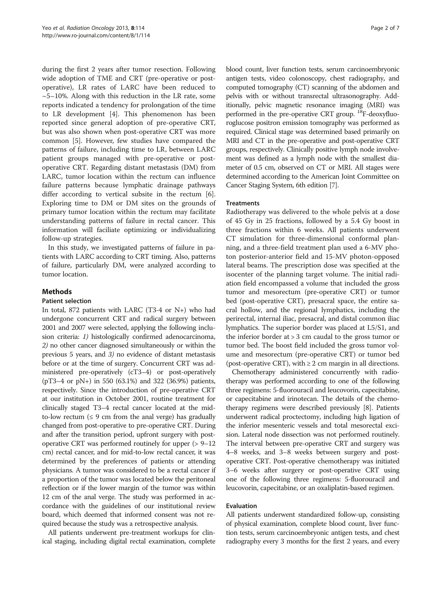during the first 2 years after tumor resection. Following wide adoption of TME and CRT (pre-operative or postoperative), LR rates of LARC have been reduced to  $\sim$  5–10%. Along with this reduction in the LR rate, some reports indicated a tendency for prolongation of the time to LR development [[4\]](#page-6-0). This phenomenon has been reported since general adoption of pre-operative CRT, but was also shown when post-operative CRT was more common [[5\]](#page-6-0). However, few studies have compared the patterns of failure, including time to LR, between LARC patient groups managed with pre-operative or postoperative CRT. Regarding distant metastasis (DM) from LARC, tumor location within the rectum can influence failure patterns because lymphatic drainage pathways differ according to vertical subsite in the rectum [\[6](#page-6-0)]. Exploring time to DM or DM sites on the grounds of primary tumor location within the rectum may facilitate understanding patterns of failure in rectal cancer. This information will faciliate optimizing or individualizing follow-up strategies.

In this study, we investigated patterns of failure in patients with LARC according to CRT timing. Also, patterns of failure, particularly DM, were analyzed according to tumor location.

# **Methods**

#### Patient selection

In total, 872 patients with LARC (T3-4 or N+) who had undergone concurrent CRT and radical surgery between 2001 and 2007 were selected, applying the following inclusion criteria: 1) histologically confirmed adenocarcinoma, 2) no other cancer diagnosed simultaneously or within the previous 5 years, and 3) no evidence of distant metastasis before or at the time of surgery. Concurrent CRT was administered pre-operatively (cT3–4) or post-operatively (pT3–4 or pN+) in 550 (63.1%) and 322 (36.9%) patients, respectively. Since the introduction of pre-operative CRT at our institution in October 2001, routine treatment for clinically staged T3–4 rectal cancer located at the midto-low rectum  $(≤ 9$  cm from the anal verge) has gradually changed from post-operative to pre-operative CRT. During and after the transition period, upfront surgery with postoperative CRT was performed routinely for upper (> 9–12 cm) rectal cancer, and for mid-to-low rectal cancer, it was determined by the preferences of patients or attending physicians. A tumor was considered to be a rectal cancer if a proportion of the tumor was located below the peritoneal reflection or if the lower margin of the tumor was within 12 cm of the anal verge. The study was performed in accordance with the guidelines of our institutional review board, which deemed that informed consent was not required because the study was a retrospective analysis.

All patients underwent pre-treatment workups for clinical staging, including digital rectal examination, complete

blood count, liver function tests, serum carcinoembryonic antigen tests, video colonoscopy, chest radiography, and computed tomography (CT) scanning of the abdomen and pelvis with or without transrectal ultrasonography. Additionally, pelvic magnetic resonance imaging (MRI) was performed in the pre-operative CRT group.  $^{18}$ F-deoxyfluoroglucose positron emission tomography was performed as required. Clinical stage was determined based primarily on MRI and CT in the pre-operative and post-operative CRT groups, respectively. Clinically positive lymph node involvement was defined as a lymph node with the smallest diameter of 0.5 cm, observed on CT or MRI. All stages were determined according to the American Joint Committee on Cancer Staging System, 6th edition [\[7\]](#page-6-0).

#### **Treatments**

Radiotherapy was delivered to the whole pelvis at a dose of 45 Gy in 25 fractions, followed by a 5.4 Gy boost in three fractions within 6 weeks. All patients underwent CT simulation for three-dimensional conformal planning, and a three-field treatment plan used a 6-MV photon posterior-anterior field and 15-MV photon-opposed lateral beams. The prescription dose was specified at the isocenter of the planning target volume. The initial radiation field encompassed a volume that included the gross tumor and mesorectum (pre-operative CRT) or tumor bed (post-operative CRT), presacral space, the entire sacral hollow, and the regional lymphatics, including the perirectal, internal iliac, presacral, and distal common iliac lymphatics. The superior border was placed at L5/S1, and the inferior border at > 3 cm caudal to the gross tumor or tumor bed. The boost field included the gross tumor volume and mesorectum (pre-operative CRT) or tumor bed (post-operative CRT), with  $\geq 2$  cm margin in all directions.

Chemotherapy administered concurrently with radiotherapy was performed according to one of the following three regimens: 5-fluorouracil and leucovorin, capecitabine, or capecitabine and irinotecan. The details of the chemotherapy regimens were described previously [[8](#page-6-0)]. Patients underwent radical proctectomy, including high ligation of the inferior mesenteric vessels and total mesorectal excision. Lateral node dissection was not performed routinely. The interval between pre-operative CRT and surgery was 4–8 weeks, and 3–8 weeks between surgery and postoperative CRT. Post-operative chemotherapy was initiated 3–6 weeks after surgery or post-operative CRT using one of the following three regimens: 5-fluorouracil and leucovorin, capecitabine, or an oxaliplatin-based regimen.

#### Evaluation

All patients underwent standardized follow-up, consisting of physical examination, complete blood count, liver function tests, serum carcinoembryonic antigen tests, and chest radiography every 3 months for the first 2 years, and every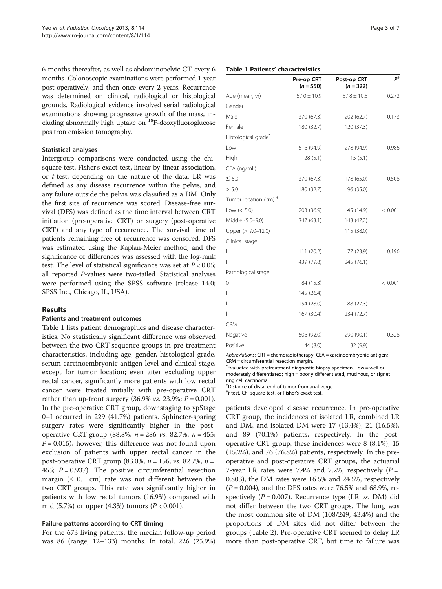6 months thereafter, as well as abdominopelvic CT every 6 months. Colonoscopic examinations were performed 1 year post-operatively, and then once every 2 years. Recurrence was determined on clinical, radiological or histological grounds. Radiological evidence involved serial radiological examinations showing progressive growth of the mass, including abnormally high uptake on 18F-deoxyfluoroglucose positron emission tomography.

# Statistical analyses

Intergroup comparisons were conducted using the chisquare test, Fisher's exact test, linear-by-linear association, or t-test, depending on the nature of the data. LR was defined as any disease recurrence within the pelvis, and any failure outside the pelvis was classified as a DM. Only the first site of recurrence was scored. Disease-free survival (DFS) was defined as the time interval between CRT initiation (pre-operative CRT) or surgery (post-operative CRT) and any type of recurrence. The survival time of patients remaining free of recurrence was censored. DFS was estimated using the Kaplan-Meier method, and the significance of differences was assessed with the log-rank test. The level of statistical significance was set at  $P < 0.05$ ; all reported P-values were two-tailed. Statistical analyses were performed using the SPSS software (release 14.0; SPSS Inc., Chicago, IL, USA).

# Results

# Patients and treatment outcomes

Table 1 lists patient demographics and disease characteristics. No statistically significant difference was observed between the two CRT sequence groups in pre-treatment characteristics, including age, gender, histological grade, serum carcinoembryonic antigen level and clinical stage, except for tumor location; even after excluding upper rectal cancer, significantly more patients with low rectal cancer were treated initially with pre-operative CRT rather than up-front surgery (36.9% *vs.* 23.9%;  $P = 0.001$ ). In the pre-operative CRT group, downstaging to ypStage 0–I occurred in 229 (41.7%) patients. Sphincter-sparing surgery rates were significantly higher in the postoperative CRT group (88.8%,  $n = 286$  vs. 82.7%,  $n = 455$ ;  $P = 0.015$ ), however, this difference was not found upon exclusion of patients with upper rectal cancer in the post-operative CRT group (83.0%,  $n = 156$ , *vs.* 82.7%,  $n =$ 455;  $P = 0.937$ ). The positive circumferential resection margin ( $\leq$  0.1 cm) rate was not different between the two CRT groups. This rate was significantly higher in patients with low rectal tumors (16.9%) compared with mid (5.7%) or upper (4.3%) tumors ( $P < 0.001$ ).

#### Failure patterns according to CRT timing

For the 673 living patients, the median follow-up period was 86 (range, 12–133) months. In total, 226 (25.9%)

#### Table 1 Patients' characteristics

|                                  | Pre-op CRT<br>$(n = 550)$ | Post-op CRT<br>$(n = 322)$ | $\mathsf{P}^\ddagger$ |
|----------------------------------|---------------------------|----------------------------|-----------------------|
| Age (mean, yr)                   | $57.0 \pm 10.9$           | $57.8 \pm 10.5$            | 0.272                 |
| Gender                           |                           |                            |                       |
| Male                             | 370 (67.3)                | 202 (62.7)                 | 0.173                 |
| Female                           | 180 (32.7)                | 120 (37.3)                 |                       |
| Histological grade <sup>7</sup>  |                           |                            |                       |
| Low                              | 516 (94.9)                | 278 (94.9)                 | 0.986                 |
| High                             | 28(5.1)                   | 15(5.1)                    |                       |
| CEA (ng/mL)                      |                           |                            |                       |
| $\leq 5.0$                       | 370 (67.3)                | 178 (65.0)                 | 0.508                 |
| > 5.0                            | 180 (32.7)                | 96 (35.0)                  |                       |
| Tumor location (cm) <sup>†</sup> |                           |                            |                       |
| Low $(< 5.0)$                    | 203 (36.9)                | 45 (14.9)                  | < 0.001               |
| Middle (5.0-9.0)                 | 347 (63.1)                | 143 (47.2)                 |                       |
| Upper (> 9.0-12.0)               |                           | 115 (38.0)                 |                       |
| Clinical stage                   |                           |                            |                       |
| Ш                                | 111(20.2)                 | 77 (23.9)                  | 0.196                 |
| Ш                                | 439 (79.8)                | 245 (76.1)                 |                       |
| Pathological stage               |                           |                            |                       |
| 0                                | 84 (15.3)                 |                            | < 0.001               |
| I                                | 145 (26.4)                |                            |                       |
| II                               | 154 (28.0)                | 88 (27.3)                  |                       |
| Ш                                | 167 (30.4)                | 234 (72.7)                 |                       |
| <b>CRM</b>                       |                           |                            |                       |
| Negative                         | 506 (92.0)                | 290 (90.1)                 | 0.328                 |
| Positive                         | 44 (8.0)                  | 32 (9.9)                   |                       |

Abbreviations: CRT = chemoradiotherapy; CEA = carcinoembryonic antigen; CRM = circumferential resection margin.

\* Evaluated with pretreatment diagnostic biopsy specimen. Low = well or moderately differentiated; high = poorly differentiated, mucinous, or signet ring cell carcinoma.

† Distance of distal end of tumor from anal verge.

‡ t-test, Chi-square test, or Fisher's exact test.

patients developed disease recurrence. In pre-operative CRT group, the incidences of isolated LR, combined LR and DM, and isolated DM were 17 (13.4%), 21 (16.5%), and 89 (70.1%) patients, respectively. In the postoperative CRT group, these incidences were 8 (8.1%), 15 (15.2%), and 76 (76.8%) patients, respectively. In the preoperative and post-operative CRT groups, the actuarial 7-year LR rates were 7.4% and 7.2%, respectively  $(P =$ 0.803), the DM rates were 16.5% and 24.5%, respectively  $(P = 0.004)$ , and the DFS rates were 76.5% and 68.9%, respectively ( $P = 0.007$ ). Recurrence type (LR *vs*. DM) did not differ between the two CRT groups. The lung was the most common site of DM (108/249, 43.4%) and the proportions of DM sites did not differ between the groups (Table [2](#page-3-0)). Pre-operative CRT seemed to delay LR more than post-operative CRT, but time to failure was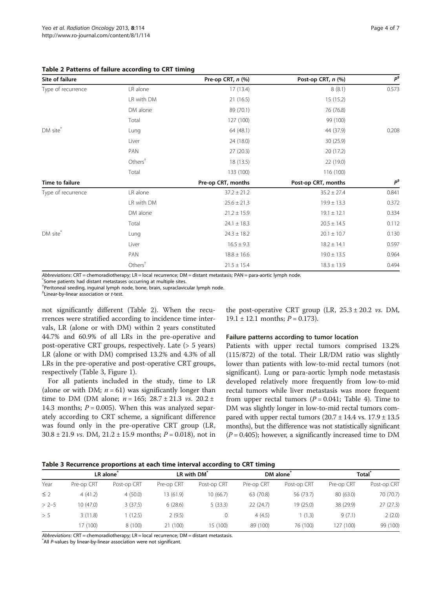#### <span id="page-3-0"></span>Table 2 Patterns of failure according to CRT timing

| Site of failure      |                     | Pre-op CRT, n (%)  | Post-op CRT, n (%)  | $P^{\ddagger}$ |
|----------------------|---------------------|--------------------|---------------------|----------------|
| Type of recurrence   | LR alone            | 17(13.4)           | 8(8.1)              | 0.573          |
|                      | LR with DM          | 21(16.5)           | 15(15.2)            |                |
|                      | DM alone            | 89 (70.1)          | 76 (76.8)           |                |
|                      | Total               | 127 (100)          | 99 (100)            |                |
| DM site <sup>®</sup> | Lung                | 64 (48.1)          | 44 (37.9)           | 0.208          |
|                      | Liver               | 24 (18.0)          | 30(25.9)            |                |
|                      | PAN                 | 27(20.3)           | 20 (17.2)           |                |
|                      | Others <sup>+</sup> | 18 (13.5)          | 22 (19.0)           |                |
|                      | Total               | 133 (100)          | 116 (100)           |                |
| Time to failure      |                     | Pre-op CRT, months | Post-op CRT, months | $P^{\ddagger}$ |
| Type of recurrence   | LR alone            | $37.2 \pm 21.2$    | $35.2 \pm 27.4$     | 0.841          |
|                      | LR with DM          | $25.6 \pm 21.3$    | $19.9 \pm 13.3$     | 0.372          |
|                      | DM alone            | $21.2 \pm 15.9$    | $19.1 \pm 12.1$     | 0.334          |
|                      | Total               | $24.1 \pm 18.3$    | $20.5 \pm 14.5$     | 0.112          |
| DM site*             | Lung                | $24.3 \pm 18.2$    | $20.1 \pm 10.7$     | 0.130          |
|                      | Liver               | $16.5 \pm 9.3$     | $18.2 \pm 14.1$     | 0.597          |
|                      | PAN                 | $18.8 \pm 16.6$    | $19.0 \pm 13.5$     | 0.964          |
|                      | Others $†$          | $21.5 \pm 15.4$    | $18.3 \pm 13.9$     | 0.494          |

Abbreviations: CRT = chemoradiotherapy; LR = local recurrence; DM = distant metastasis; PAN = para-aortic lymph node.

Some patients had distant metastases occurring at multiple sites.

† Peritoneal seeding, inguinal lymph node, bone, brain, supraclavicular lymph node.

‡ Linear-by-linear association or t-test.

not significantly different (Table 2). When the recurrences were stratified according to incidence time intervals, LR (alone or with DM) within 2 years constituted 44.7% and 60.9% of all LRs in the pre-operative and post-operative CRT groups, respectively. Late (> 5 years) LR (alone or with DM) comprised 13.2% and 4.3% of all LRs in the pre-operative and post-operative CRT groups, respectively (Table 3, Figure [1](#page-4-0)).

For all patients included in the study, time to LR (alone or with DM;  $n = 61$ ) was significantly longer than time to DM (DM alone;  $n = 165$ ;  $28.7 \pm 21.3$  vs.  $20.2 \pm$ 14.3 months;  $P = 0.005$ ). When this was analyzed separately according to CRT scheme, a significant difference was found only in the pre-operative CRT group (LR,  $30.8 \pm 21.9$  *vs.* DM,  $21.2 \pm 15.9$  months;  $P = 0.018$ ), not in the post-operative CRT group (LR,  $25.3 \pm 20.2$  vs. DM,  $19.1 \pm 12.1$  months;  $P = 0.173$ ).

#### Failure patterns according to tumor location

Patients with upper rectal tumors comprised 13.2% (115/872) of the total. Their LR/DM ratio was slightly lower than patients with low-to-mid rectal tumors (not significant). Lung or para-aortic lymph node metastasis developed relatively more frequently from low-to-mid rectal tumors while liver metastasis was more frequent from upper rectal tumors  $(P = 0.041;$  Table [4](#page-4-0)). Time to DM was slightly longer in low-to-mid rectal tumors compared with upper rectal tumors  $(20.7 \pm 14.4 \text{ vs. } 17.9 \pm 13.5$ months), but the difference was not statistically significant  $(P = 0.405)$ ; however, a significantly increased time to DM

| Table 3 Recurrence proportions at each time interval according to CRT timing |  |  |  |  |  |  |
|------------------------------------------------------------------------------|--|--|--|--|--|--|
|------------------------------------------------------------------------------|--|--|--|--|--|--|

|          | LR alone <sup>®</sup> |             | LR with DM <sup>*</sup> |             | DM alone <sup>®</sup> |             | <b>Total</b> |             |
|----------|-----------------------|-------------|-------------------------|-------------|-----------------------|-------------|--------------|-------------|
| Year     | Pre-op CRT            | Post-op CRT | Pre-op CRT              | Post-op CRT | Pre-op CRT            | Post-op CRT | Pre-op CRT   | Post-op CRT |
| $\leq$ 2 | 4(41.2)               | 4(50.0)     | 13 (61.9)               | 10(66.7)    | 63 (70.8)             | 56 (73.7)   | 80(63.0)     | 70 (70.7)   |
| $> 2-5$  | 10(47.0)              | 3(37.5)     | 6(28.6)                 | 5(33.3)     | 22(24.7)              | 19(25.0)    | 38 (29.9)    | 27(27.3)    |
| > 5      | 3(11.8)               | (12.5)      | 2(9.5)                  |             | 4(4.5)                | (1.3)       | 9(7.1)       | 2(2.0)      |
|          | 17 (100)              | 8(100)      | 21 (100)                | 15 (100)    | 89 (100)              | 76 (100)    | 127 (100)    | 99 (100)    |

Abbreviations:  $CRT =$ chemoradiotherapy;  $LR =$ local recurrence;  $DM =$ distant metastasis.

All P-values by linear-by-linear association were not significant.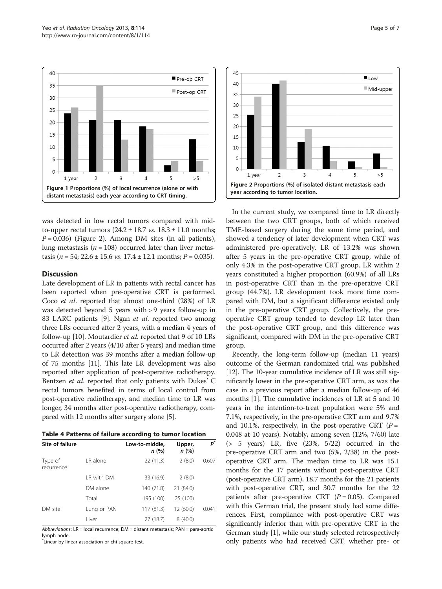<span id="page-4-0"></span>

was detected in low rectal tumors compared with midto-upper rectal tumors  $(24.2 \pm 18.7 \text{ vs. } 18.3 \pm 11.0 \text{ months})$ ;  $P = 0.036$ ) (Figure 2). Among DM sites (in all patients), lung metastasis ( $n = 108$ ) occurred later than liver metastasis ( $n = 54$ ; 22.6 ± 15.6 *vs.* 17.4 ± 12.1 months;  $P = 0.035$ ).

## **Discussion**

Late development of LR in patients with rectal cancer has been reported when pre-operative CRT is performed. Coco et al. reported that almost one-third (28%) of LR was detected beyond 5 years with > 9 years follow-up in 83 LARC patients [\[9](#page-6-0)]. Ngan et al. reported two among three LRs occurred after 2 years, with a median 4 years of follow-up [[10](#page-6-0)]. Moutardier et al. reported that 9 of 10 LRs occurred after 2 years (4/10 after 5 years) and median time to LR detection was 39 months after a median follow-up of 75 months [[11\]](#page-6-0). This late LR development was also reported after application of post-operative radiotherapy. Bentzen et al. reported that only patients with Dukes' C rectal tumors benefited in terms of local control from post-operative radiotherapy, and median time to LR was longer, 34 months after post-operative radiotherapy, compared with 12 months after surgery alone [\[5](#page-6-0)].

Table 4 Patterns of failure according to tumor location

| Site of failure       |             | Low-to-middle,<br>n(%) | Upper,<br>n (%) | $P^*$ |
|-----------------------|-------------|------------------------|-----------------|-------|
| Type of<br>recurrence | LR alone    | 22 (11.3)              | 2(8.0)          | 0.607 |
|                       | I R with DM | 33 (16.9)              | 2(8.0)          |       |
|                       | DM alone    | 140 (71.8)             | 21 (84.0)       |       |
|                       | Total       | 195 (100)              | 25 (100)        |       |
| DM site               | Lung or PAN | 117 (81.3)             | 12 (60.0)       | 0.041 |
|                       | Liver       | 27 (18.7)              | 8(40.0)         |       |

Abbreviations: LR = local recurrence; DM = distant metastasis; PAN = para-aortic lymph node.

\* Linear-by-linear association or chi-square test.



In the current study, we compared time to LR directly between the two CRT groups, both of which received TME-based surgery during the same time period, and showed a tendency of later development when CRT was administered pre-operatively. LR of 13.2% was shown after 5 years in the pre-operative CRT group, while of only 4.3% in the post-operative CRT group. LR within 2 years constituted a higher proportion (60.9%) of all LRs in post-operative CRT than in the pre-operative CRT group (44.7%). LR development took more time compared with DM, but a significant difference existed only in the pre-operative CRT group. Collectively, the preoperative CRT group tended to develop LR later than the post-operative CRT group, and this difference was significant, compared with DM in the pre-operative CRT group.

Recently, the long-term follow-up (median 11 years) outcome of the German randomized trial was published [[12](#page-6-0)]. The 10-year cumulative incidence of LR was still significantly lower in the pre-operative CRT arm, as was the case in a previous report after a median follow-up of 46 months [[1](#page-6-0)]. The cumulative incidences of LR at 5 and 10 years in the intention-to-treat population were 5% and 7.1%, respectively, in the pre-operative CRT arm and 9.7% and 10.1%, respectively, in the post-operative CRT ( $P =$ 0.048 at 10 years). Notably, among seven (12%, 7/60) late (> 5 years) LR, five (23%, 5/22) occurred in the pre-operative CRT arm and two (5%, 2/38) in the postoperative CRT arm. The median time to LR was 15.1 months for the 17 patients without post-operative CRT (post-operative CRT arm), 18.7 months for the 21 patients with post-operative CRT, and 30.7 months for the 22 patients after pre-operative CRT  $(P = 0.05)$ . Compared with this German trial, the present study had some differences. First, compliance with post-operative CRT was significantly inferior than with pre-operative CRT in the German study [[1\]](#page-6-0), while our study selected retrospectively only patients who had received CRT, whether pre- or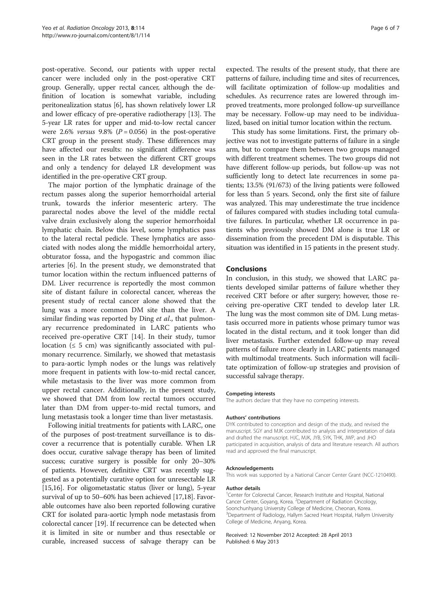post-operative. Second, our patients with upper rectal cancer were included only in the post-operative CRT group. Generally, upper rectal cancer, although the definition of location is somewhat variable, including peritonealization status [\[6](#page-6-0)], has shown relatively lower LR and lower efficacy of pre-operative radiotherapy [[13](#page-6-0)]. The 5-year LR rates for upper and mid-to-low rectal cancer were 2.6% *versus* 9.8% ( $P = 0.056$ ) in the post-operative CRT group in the present study. These differences may have affected our results: no significant difference was seen in the LR rates between the different CRT groups and only a tendency for delayed LR development was identified in the pre-operative CRT group.

The major portion of the lymphatic drainage of the rectum passes along the superior hemorrhoidal arterial trunk, towards the inferior mesenteric artery. The pararectal nodes above the level of the middle rectal valve drain exclusively along the superior hemorrhoidal lymphatic chain. Below this level, some lymphatics pass to the lateral rectal pedicle. These lymphatics are associated with nodes along the middle hemorrhoidal artery, obturator fossa, and the hypogastric and common iliac arteries [[6\]](#page-6-0). In the present study, we demonstrated that tumor location within the rectum influenced patterns of DM. Liver recurrence is reportedly the most common site of distant failure in colorectal cancer, whereas the present study of rectal cancer alone showed that the lung was a more common DM site than the liver. A similar finding was reported by Ding et al., that pulmonary recurrence predominated in LARC patients who received pre-operative CRT [\[14](#page-6-0)]. In their study, tumor location ( $\leq 5$  cm) was significantly associated with pulmonary recurrence. Similarly, we showed that metastasis to para-aortic lymph nodes or the lungs was relatively more frequent in patients with low-to-mid rectal cancer, while metastasis to the liver was more common from upper rectal cancer. Additionally, in the present study, we showed that DM from low rectal tumors occurred later than DM from upper-to-mid rectal tumors, and lung metastasis took a longer time than liver metastasis.

Following initial treatments for patients with LARC, one of the purposes of post-treatment surveillance is to discover a recurrence that is potentially curable. When LR does occur, curative salvage therapy has been of limited success; curative surgery is possible for only 20–30% of patients. However, definitive CRT was recently suggested as a potentially curative option for unresectable LR [[15,16](#page-6-0)]. For oligometastatic status (liver or lung), 5-year survival of up to 50–60% has been achieved [\[17,18](#page-6-0)]. Favorable outcomes have also been reported following curative CRT for isolated para-aortic lymph node metastasis from colorectal cancer [[19](#page-6-0)]. If recurrence can be detected when it is limited in site or number and thus resectable or curable, increased success of salvage therapy can be

expected. The results of the present study, that there are patterns of failure, including time and sites of recurrences, will facilitate optimization of follow-up modalities and schedules. As recurrence rates are lowered through improved treatments, more prolonged follow-up surveillance may be necessary. Follow-up may need to be individualized, based on initial tumor location within the rectum.

This study has some limitations. First, the primary objective was not to investigate patterns of failure in a single arm, but to compare them between two groups managed with different treatment schemes. The two groups did not have different follow-up periods, but follow-up was not sufficiently long to detect late recurrences in some patients; 13.5% (91/673) of the living patients were followed for less than 5 years. Second, only the first site of failure was analyzed. This may underestimate the true incidence of failures compared with studies including total cumulative failures. In particular, whether LR occurrence in patients who previously showed DM alone is true LR or dissemination from the precedent DM is disputable. This situation was identified in 15 patients in the present study.

#### Conclusions

In conclusion, in this study, we showed that LARC patients developed similar patterns of failure whether they received CRT before or after surgery; however, those receiving pre-operative CRT tended to develop later LR. The lung was the most common site of DM. Lung metastasis occurred more in patients whose primary tumor was located in the distal rectum, and it took longer than did liver metastasis. Further extended follow-up may reveal patterns of failure more clearly in LARC patients managed with multimodal treatments. Such information will facilitate optimization of follow-up strategies and provision of successful salvage therapy.

#### Competing interests

The authors declare that they have no competing interests.

#### Authors' contributions

DYK contributed to conception and design of the study, and revised the manuscript. SGY and MJK contributed to analysis and interpretation of data and drafted the manuscript. HJC, MJK, JYB, SYK, THK, JWP, and JHO participated in acquisition, analysis of data and literature research. All authors read and approved the final manuscript.

#### Acknowledgements

This work was supported by a National Cancer Center Grant (NCC-1210490).

#### Author details

<sup>1</sup> Center for Colorectal Cancer, Research Institute and Hospital, National Cancer Center, Goyang, Korea. <sup>2</sup>Department of Radiation Oncology, Soonchunhyang University College of Medicine, Cheonan, Korea. <sup>3</sup>Department of Radiology, Hallym Sacred Heart Hospital, Hallym University College of Medicine, Anyang, Korea.

#### Received: 12 November 2012 Accepted: 28 April 2013 Published: 6 May 2013